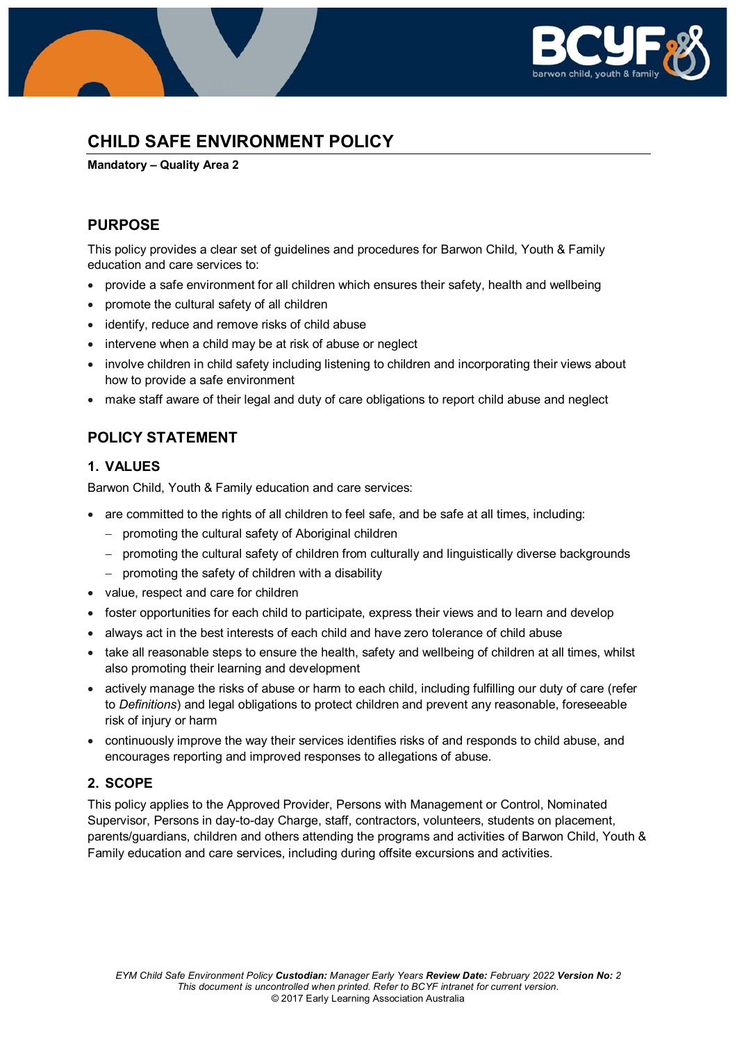

# **CHILD SAFE ENVIRONMENT POLICY**

**Mandatory – Quality Area 2**

# **PURPOSE**

This policy provides a clear set of guidelines and procedures for Barwon Child, Youth & Family education and care services to:

- provide a safe environment for all children which ensures their safety, health and wellbeing
- promote the cultural safety of all children
- identify, reduce and remove risks of child abuse
- intervene when a child may be at risk of abuse or neglect
- involve children in child safety including listening to children and incorporating their views about how to provide a safe environment
- make staff aware of their legal and duty of care obligations to report child abuse and neglect

# **POLICY STATEMENT**

# **1. VALUES**

Barwon Child, Youth & Family education and care services:

- are committed to the rights of all children to feel safe, and be safe at all times, including:
	- − promoting the cultural safety of Aboriginal children
	- − promoting the cultural safety of children from culturally and linguistically diverse backgrounds
	- − promoting the safety of children with a disability
- value, respect and care for children
- foster opportunities for each child to participate, express their views and to learn and develop
- always act in the best interests of each child and have zero tolerance of child abuse
- take all reasonable steps to ensure the health, safety and wellbeing of children at all times, whilst also promoting their learning and development
- actively manage the risks of abuse or harm to each child, including fulfilling our duty of care (refer to *Definitions*) and legal obligations to protect children and prevent any reasonable, foreseeable risk of injury or harm
- continuously improve the way their services identifies risks of and responds to child abuse, and encourages reporting and improved responses to allegations of abuse.

# **2. SCOPE**

This policy applies to the Approved Provider, Persons with Management or Control, Nominated Supervisor, Persons in day-to-day Charge, staff, contractors, volunteers, students on placement, parents/guardians, children and others attending the programs and activities of Barwon Child, Youth & Family education and care services, including during offsite excursions and activities.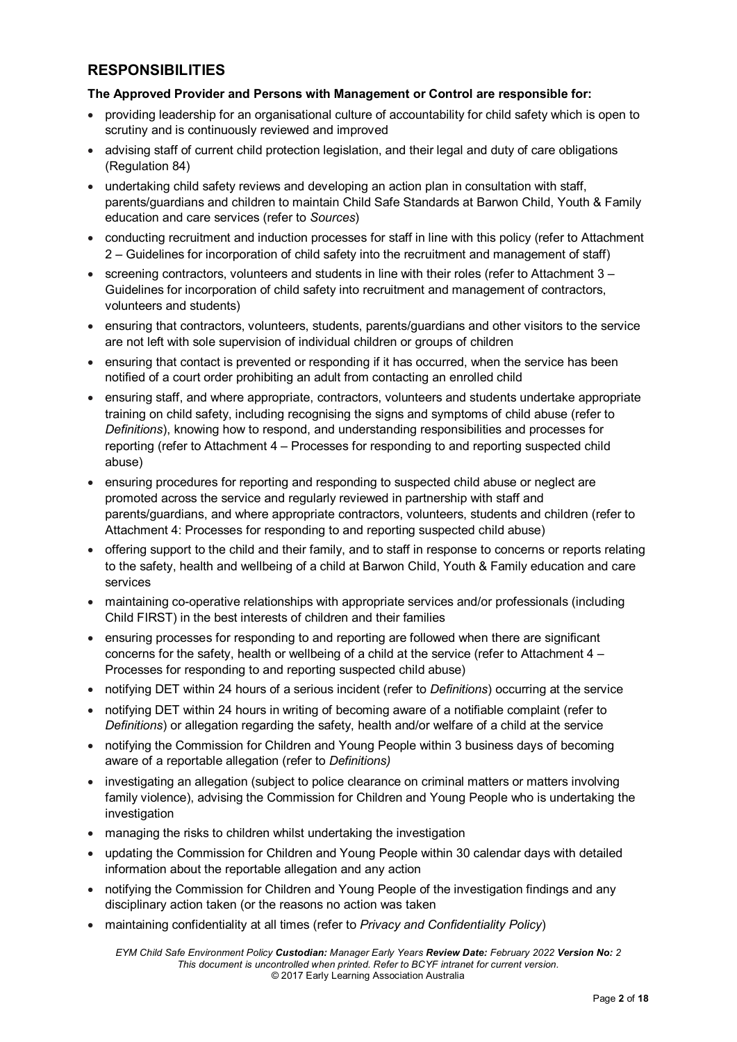# **RESPONSIBILITIES**

### **The Approved Provider and Persons with Management or Control are responsible for:**

- providing leadership for an organisational culture of accountability for child safety which is open to scrutiny and is continuously reviewed and improved
- advising staff of current child protection legislation, and their legal and duty of care obligations (Regulation 84)
- undertaking child safety reviews and developing an action plan in consultation with staff, parents/guardians and children to maintain Child Safe Standards at Barwon Child, Youth & Family education and care services (refer to *Sources*)
- conducting recruitment and induction processes for staff in line with this policy (refer to Attachment 2 – Guidelines for incorporation of child safety into the recruitment and management of staff)
- screening contractors, volunteers and students in line with their roles (refer to Attachment 3 Guidelines for incorporation of child safety into recruitment and management of contractors, volunteers and students)
- ensuring that contractors, volunteers, students, parents/guardians and other visitors to the service are not left with sole supervision of individual children or groups of children
- ensuring that contact is prevented or responding if it has occurred, when the service has been notified of a court order prohibiting an adult from contacting an enrolled child
- ensuring staff, and where appropriate, contractors, volunteers and students undertake appropriate training on child safety, including recognising the signs and symptoms of child abuse (refer to *Definitions*), knowing how to respond, and understanding responsibilities and processes for reporting (refer to Attachment 4 – Processes for responding to and reporting suspected child abuse)
- ensuring procedures for reporting and responding to suspected child abuse or neglect are promoted across the service and regularly reviewed in partnership with staff and parents/guardians, and where appropriate contractors, volunteers, students and children (refer to Attachment 4: Processes for responding to and reporting suspected child abuse)
- offering support to the child and their family, and to staff in response to concerns or reports relating to the safety, health and wellbeing of a child at Barwon Child, Youth & Family education and care services
- maintaining co-operative relationships with appropriate services and/or professionals (including Child FIRST) in the best interests of children and their families
- ensuring processes for responding to and reporting are followed when there are significant concerns for the safety, health or wellbeing of a child at the service (refer to Attachment 4 – Processes for responding to and reporting suspected child abuse)
- notifying DET within 24 hours of a serious incident (refer to *Definitions*) occurring at the service
- notifying DET within 24 hours in writing of becoming aware of a notifiable complaint (refer to *Definitions*) or allegation regarding the safety, health and/or welfare of a child at the service
- notifying the Commission for Children and Young People within 3 business days of becoming aware of a reportable allegation (refer to *Definitions)*
- investigating an allegation (subject to police clearance on criminal matters or matters involving family violence), advising the Commission for Children and Young People who is undertaking the investigation
- managing the risks to children whilst undertaking the investigation
- updating the Commission for Children and Young People within 30 calendar days with detailed information about the reportable allegation and any action
- notifying the Commission for Children and Young People of the investigation findings and any disciplinary action taken (or the reasons no action was taken
- maintaining confidentiality at all times (refer to *Privacy and Confidentiality Policy*)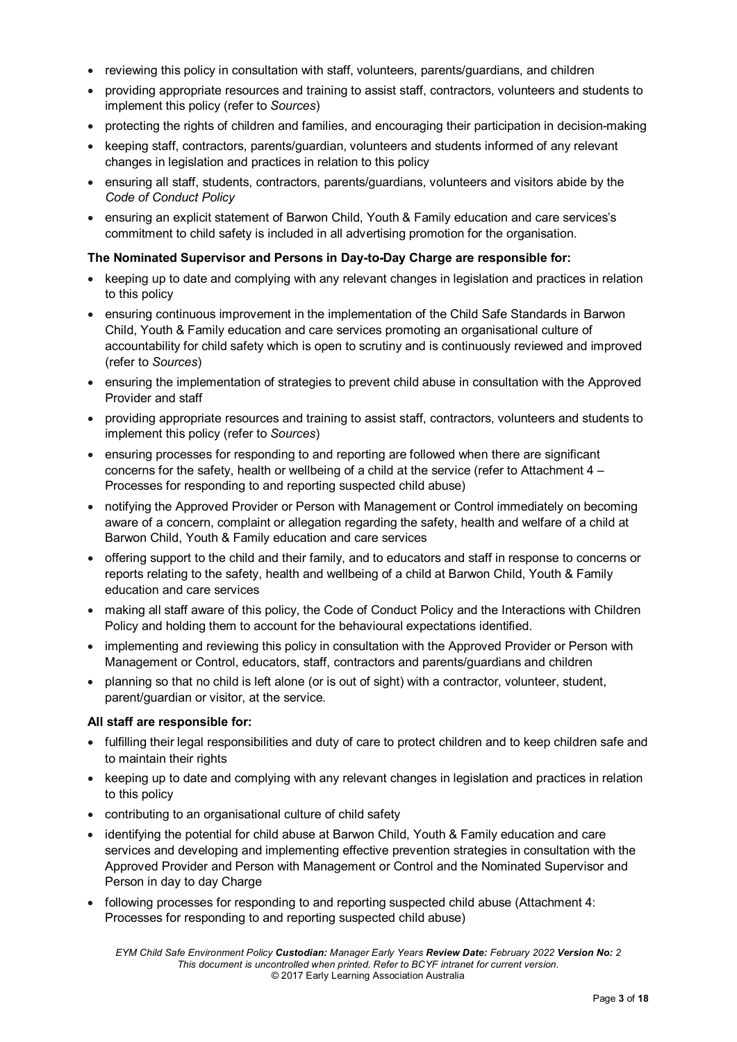- reviewing this policy in consultation with staff, volunteers, parents/guardians, and children
- providing appropriate resources and training to assist staff, contractors, volunteers and students to implement this policy (refer to *Sources*)
- protecting the rights of children and families, and encouraging their participation in decision-making
- keeping staff, contractors, parents/guardian, volunteers and students informed of any relevant changes in legislation and practices in relation to this policy
- ensuring all staff, students, contractors, parents/guardians, volunteers and visitors abide by the *Code of Conduct Policy*
- ensuring an explicit statement of Barwon Child, Youth & Family education and care services's commitment to child safety is included in all advertising promotion for the organisation.

# **The Nominated Supervisor and Persons in Day-to-Day Charge are responsible for:**

- keeping up to date and complying with any relevant changes in legislation and practices in relation to this policy
- ensuring continuous improvement in the implementation of the Child Safe Standards in Barwon Child, Youth & Family education and care services promoting an organisational culture of accountability for child safety which is open to scrutiny and is continuously reviewed and improved (refer to *Sources*)
- ensuring the implementation of strategies to prevent child abuse in consultation with the Approved Provider and staff
- providing appropriate resources and training to assist staff, contractors, volunteers and students to implement this policy (refer to *Sources*)
- ensuring processes for responding to and reporting are followed when there are significant concerns for the safety, health or wellbeing of a child at the service (refer to Attachment 4 – Processes for responding to and reporting suspected child abuse)
- notifying the Approved Provider or Person with Management or Control immediately on becoming aware of a concern, complaint or allegation regarding the safety, health and welfare of a child at Barwon Child, Youth & Family education and care services
- offering support to the child and their family, and to educators and staff in response to concerns or reports relating to the safety, health and wellbeing of a child at Barwon Child, Youth & Family education and care services
- making all staff aware of this policy, the Code of Conduct Policy and the Interactions with Children Policy and holding them to account for the behavioural expectations identified.
- implementing and reviewing this policy in consultation with the Approved Provider or Person with Management or Control, educators, staff, contractors and parents/guardians and children
- planning so that no child is left alone (or is out of sight) with a contractor, volunteer, student, parent/guardian or visitor, at the service.

### **All staff are responsible for:**

- fulfilling their legal responsibilities and duty of care to protect children and to keep children safe and to maintain their rights
- keeping up to date and complying with any relevant changes in legislation and practices in relation to this policy
- contributing to an organisational culture of child safety
- identifying the potential for child abuse at Barwon Child, Youth & Family education and care services and developing and implementing effective prevention strategies in consultation with the Approved Provider and Person with Management or Control and the Nominated Supervisor and Person in day to day Charge
- following processes for responding to and reporting suspected child abuse (Attachment 4: Processes for responding to and reporting suspected child abuse)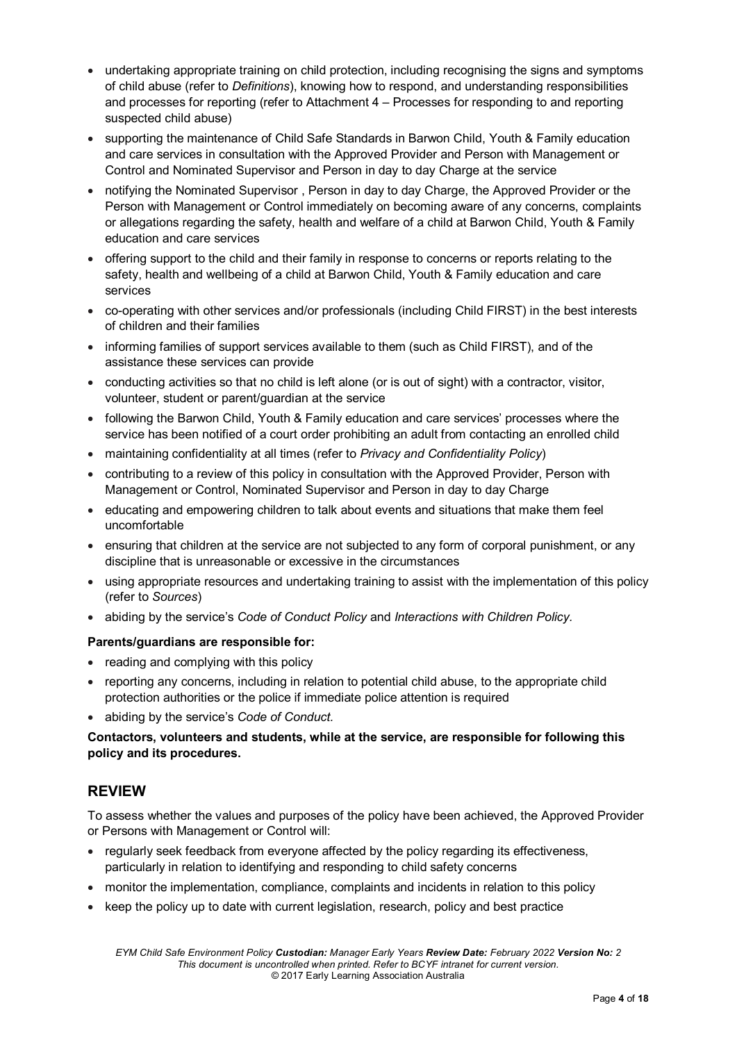- undertaking appropriate training on child protection, including recognising the signs and symptoms of child abuse (refer to *Definitions*), knowing how to respond, and understanding responsibilities and processes for reporting (refer to Attachment 4 – Processes for responding to and reporting suspected child abuse)
- supporting the maintenance of Child Safe Standards in Barwon Child, Youth & Family education and care services in consultation with the Approved Provider and Person with Management or Control and Nominated Supervisor and Person in day to day Charge at the service
- notifying the Nominated Supervisor , Person in day to day Charge, the Approved Provider or the Person with Management or Control immediately on becoming aware of any concerns, complaints or allegations regarding the safety, health and welfare of a child at Barwon Child, Youth & Family education and care services
- offering support to the child and their family in response to concerns or reports relating to the safety, health and wellbeing of a child at Barwon Child, Youth & Family education and care services
- co-operating with other services and/or professionals (including Child FIRST) in the best interests of children and their families
- informing families of support services available to them (such as Child FIRST), and of the assistance these services can provide
- conducting activities so that no child is left alone (or is out of sight) with a contractor, visitor, volunteer, student or parent/guardian at the service
- following the Barwon Child, Youth & Family education and care services' processes where the service has been notified of a court order prohibiting an adult from contacting an enrolled child
- maintaining confidentiality at all times (refer to *Privacy and Confidentiality Policy*)
- contributing to a review of this policy in consultation with the Approved Provider, Person with Management or Control, Nominated Supervisor and Person in day to day Charge
- educating and empowering children to talk about events and situations that make them feel uncomfortable
- ensuring that children at the service are not subjected to any form of corporal punishment, or any discipline that is unreasonable or excessive in the circumstances
- using appropriate resources and undertaking training to assist with the implementation of this policy (refer to *Sources*)
- abiding by the service's *Code of Conduct Policy* and *Interactions with Children Policy.*

### **Parents/guardians are responsible for:**

- reading and complying with this policy
- reporting any concerns, including in relation to potential child abuse, to the appropriate child protection authorities or the police if immediate police attention is required
- abiding by the service's *Code of Conduct.*

# **Contactors, volunteers and students, while at the service, are responsible for following this policy and its procedures.**

# **REVIEW**

To assess whether the values and purposes of the policy have been achieved, the Approved Provider or Persons with Management or Control will:

- regularly seek feedback from everyone affected by the policy regarding its effectiveness, particularly in relation to identifying and responding to child safety concerns
- monitor the implementation, compliance, complaints and incidents in relation to this policy
- keep the policy up to date with current legislation, research, policy and best practice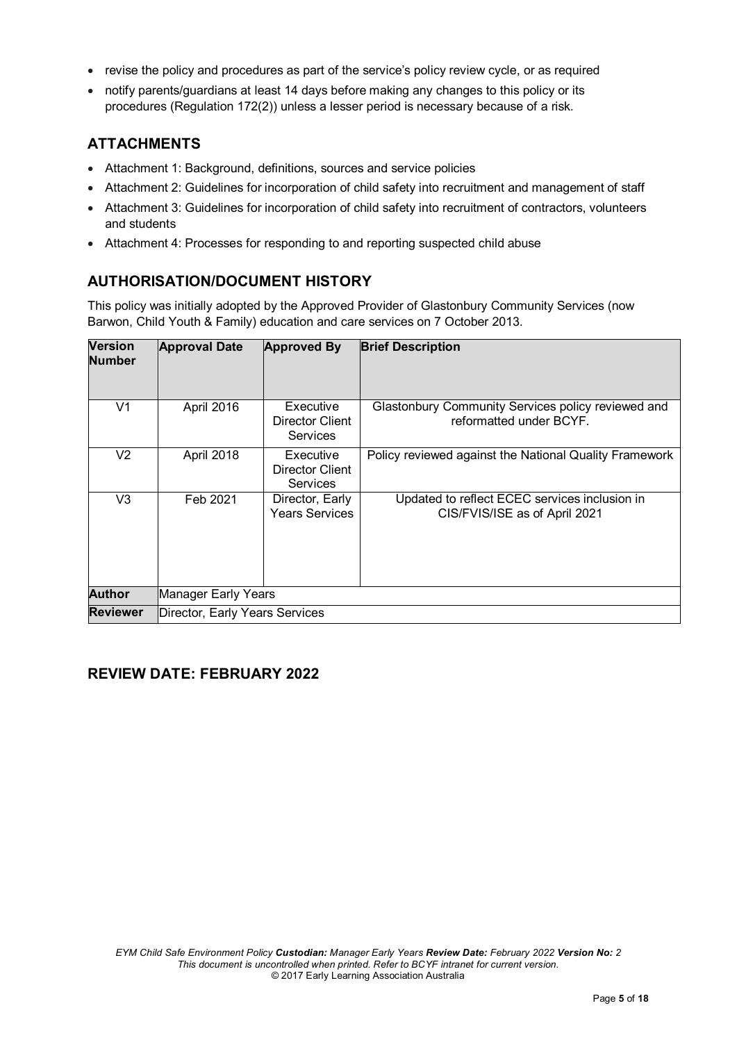- revise the policy and procedures as part of the service's policy review cycle, or as required
- notify parents/guardians at least 14 days before making any changes to this policy or its procedures (Regulation 172(2)) unless a lesser period is necessary because of a risk.

# **ATTACHMENTS**

- Attachment 1: Background, definitions, sources and service policies
- Attachment 2: Guidelines for incorporation of child safety into recruitment and management of staff
- Attachment 3: Guidelines for incorporation of child safety into recruitment of contractors, volunteers and students
- Attachment 4: Processes for responding to and reporting suspected child abuse

# **AUTHORISATION/DOCUMENT HISTORY**

This policy was initially adopted by the Approved Provider of Glastonbury Community Services (now Barwon, Child Youth & Family) education and care services on 7 October 2013.

| <b>Version</b><br><b>Number</b> | <b>Approval Date</b>           | <b>Approved By</b>                                     | <b>Brief Description</b>                                                       |
|---------------------------------|--------------------------------|--------------------------------------------------------|--------------------------------------------------------------------------------|
| V <sub>1</sub>                  | April 2016                     | Executive<br>Director Client<br><b>Services</b>        | Glastonbury Community Services policy reviewed and<br>reformatted under BCYF.  |
| V2                              | April 2018                     | Executive<br><b>Director Client</b><br><b>Services</b> | Policy reviewed against the National Quality Framework                         |
| V3                              | Feb 2021                       | Director, Early<br><b>Years Services</b>               | Updated to reflect ECEC services inclusion in<br>CIS/FVIS/ISE as of April 2021 |
| <b>Author</b>                   | Manager Early Years            |                                                        |                                                                                |
| <b>Reviewer</b>                 | Director, Early Years Services |                                                        |                                                                                |

# **REVIEW DATE: FEBRUARY 2022**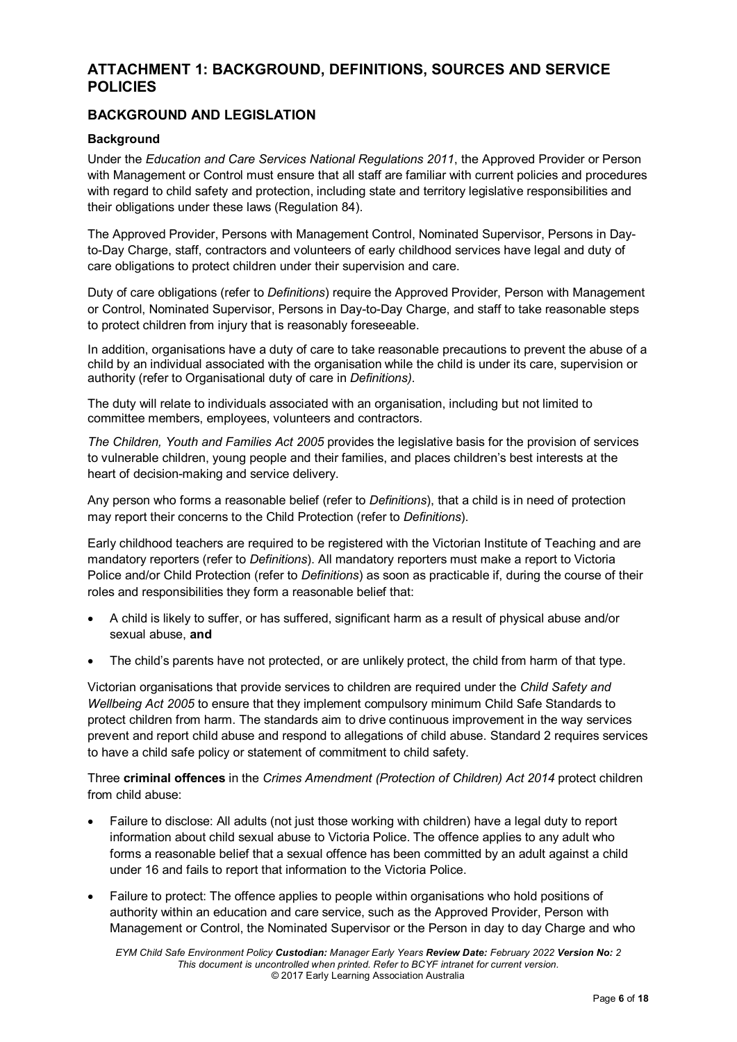# **ATTACHMENT 1: BACKGROUND, DEFINITIONS, SOURCES AND SERVICE POLICIES**

# **BACKGROUND AND LEGISLATION**

### **Background**

Under the *Education and Care Services National Regulations 2011*, the Approved Provider or Person with Management or Control must ensure that all staff are familiar with current policies and procedures with regard to child safety and protection, including state and territory legislative responsibilities and their obligations under these laws (Regulation 84).

The Approved Provider, Persons with Management Control, Nominated Supervisor, Persons in Dayto-Day Charge, staff, contractors and volunteers of early childhood services have legal and duty of care obligations to protect children under their supervision and care.

Duty of care obligations (refer to *Definitions*) require the Approved Provider, Person with Management or Control, Nominated Supervisor, Persons in Day-to-Day Charge, and staff to take reasonable steps to protect children from injury that is reasonably foreseeable.

In addition, organisations have a duty of care to take reasonable precautions to prevent the abuse of a child by an individual associated with the organisation while the child is under its care, supervision or authority (refer to Organisational duty of care in *Definitions)*.

The duty will relate to individuals associated with an organisation, including but not limited to committee members, employees, volunteers and contractors.

*The Children, Youth and Families Act 2005* provides the legislative basis for the provision of services to vulnerable children, young people and their families, and places children's best interests at the heart of decision-making and service delivery.

Any person who forms a reasonable belief (refer to *Definitions*), that a child is in need of protection may report their concerns to the Child Protection (refer to *Definitions*).

Early childhood teachers are required to be registered with the Victorian Institute of Teaching and are mandatory reporters (refer to *Definitions*). All mandatory reporters must make a report to Victoria Police and/or Child Protection (refer to *Definitions*) as soon as practicable if, during the course of their roles and responsibilities they form a reasonable belief that:

- A child is likely to suffer, or has suffered, significant harm as a result of physical abuse and/or sexual abuse, **and**
- The child's parents have not protected, or are unlikely protect, the child from harm of that type.

Victorian organisations that provide services to children are required under the *Child Safety and Wellbeing Act 2005* to ensure that they implement compulsory minimum Child Safe Standards to protect children from harm. The standards aim to drive continuous improvement in the way services prevent and report child abuse and respond to allegations of child abuse. Standard 2 requires services to have a child safe policy or statement of commitment to child safety.

Three **criminal offences** in the *Crimes Amendment (Protection of Children) Act 2014* protect children from child abuse:

- Failure to disclose: All adults (not just those working with children) have a legal duty to report information about child sexual abuse to Victoria Police. The offence applies to any adult who forms a reasonable belief that a sexual offence has been committed by an adult against a child under 16 and fails to report that information to the Victoria Police.
- Failure to protect: The offence applies to people within organisations who hold positions of authority within an education and care service, such as the Approved Provider, Person with Management or Control, the Nominated Supervisor or the Person in day to day Charge and who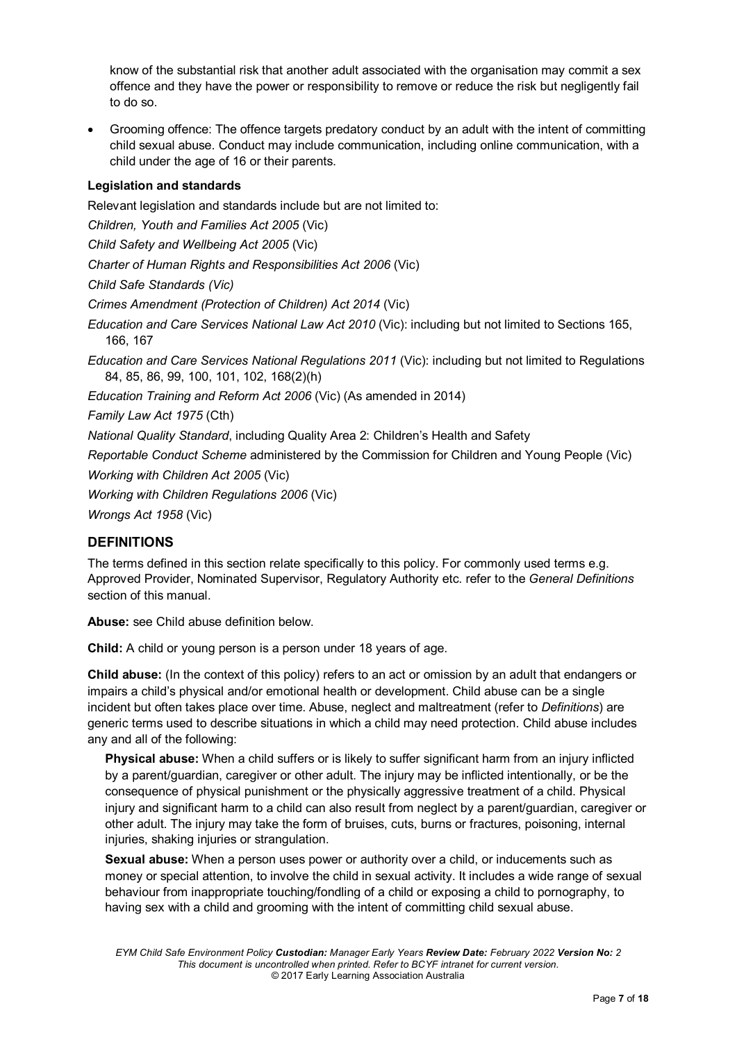know of the substantial risk that another adult associated with the organisation may commit a sex offence and they have the power or responsibility to remove or reduce the risk but negligently fail to do so.

• Grooming offence: The offence targets predatory conduct by an adult with the intent of committing child sexual abuse. Conduct may include communication, including online communication, with a child under the age of 16 or their parents.

# **Legislation and standards**

Relevant legislation and standards include but are not limited to:

*Children, Youth and Families Act 2005* (Vic)

*Child Safety and Wellbeing Act 2005* (Vic)

*Charter of Human Rights and Responsibilities Act 2006* (Vic)

*Child Safe Standards (Vic)*

*Crimes Amendment (Protection of Children) Act 2014* (Vic)

*Education and Care Services National Law Act 2010* (Vic): including but not limited to Sections 165, 166, 167

*Education and Care Services National Regulations 2011* (Vic): including but not limited to Regulations 84, 85, 86, 99, 100, 101, 102, 168(2)(h)

*Education Training and Reform Act 2006* (Vic) (As amended in 2014)

*Family Law Act 1975* (Cth)

*National Quality Standard*, including Quality Area 2: Children's Health and Safety

*Reportable Conduct Scheme* administered by the Commission for Children and Young People (Vic)

*Working with Children Act 2005* (Vic)

*Working with Children Regulations 2006* (Vic)

*Wrongs Act 1958* (Vic)

# **DEFINITIONS**

The terms defined in this section relate specifically to this policy. For commonly used terms e.g. Approved Provider, Nominated Supervisor, Regulatory Authority etc. refer to the *General Definitions* section of this manual.

**Abuse:** see Child abuse definition below.

**Child:** A child or young person is a person under 18 years of age.

**Child abuse:** (In the context of this policy) refers to an act or omission by an adult that endangers or impairs a child's physical and/or emotional health or development. Child abuse can be a single incident but often takes place over time. Abuse, neglect and maltreatment (refer to *Definitions*) are generic terms used to describe situations in which a child may need protection. Child abuse includes any and all of the following:

**Physical abuse:** When a child suffers or is likely to suffer significant harm from an injury inflicted by a parent/guardian, caregiver or other adult. The injury may be inflicted intentionally, or be the consequence of physical punishment or the physically aggressive treatment of a child. Physical injury and significant harm to a child can also result from neglect by a parent/guardian, caregiver or other adult. The injury may take the form of bruises, cuts, burns or fractures, poisoning, internal injuries, shaking injuries or strangulation.

**Sexual abuse:** When a person uses power or authority over a child, or inducements such as money or special attention, to involve the child in sexual activity. It includes a wide range of sexual behaviour from inappropriate touching/fondling of a child or exposing a child to pornography, to having sex with a child and grooming with the intent of committing child sexual abuse.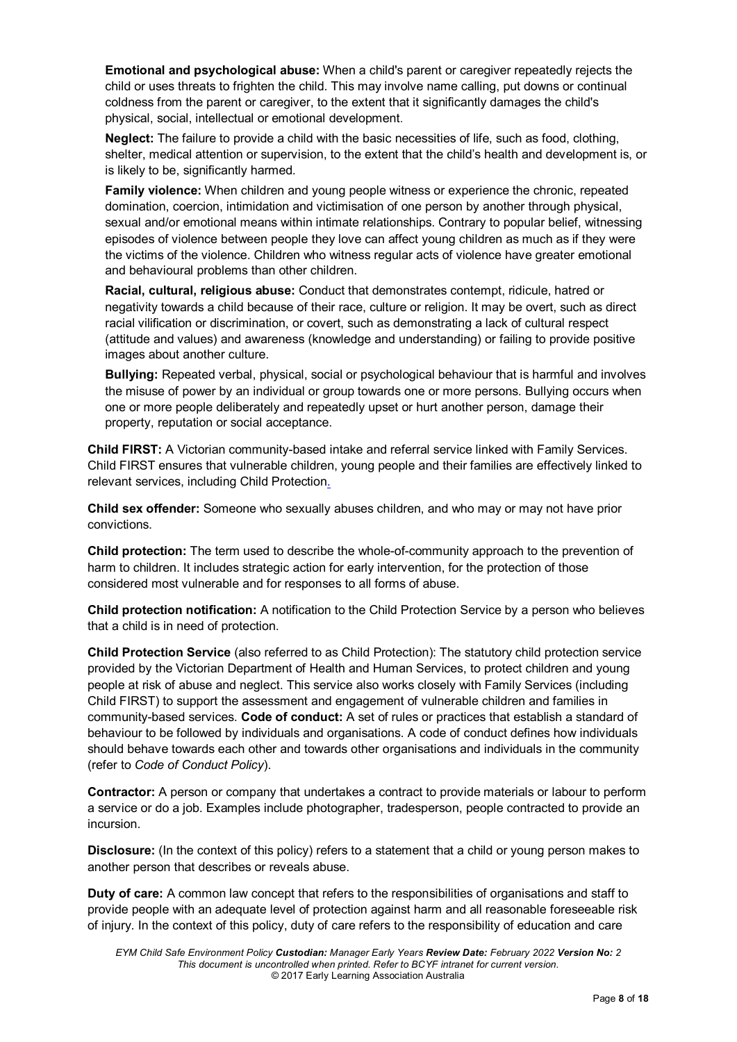**Emotional and psychological abuse:** When a child's parent or caregiver repeatedly rejects the child or uses threats to frighten the child. This may involve name calling, put downs or continual coldness from the parent or caregiver, to the extent that it significantly damages the child's physical, social, intellectual or emotional development.

**Neglect:** The failure to provide a child with the basic necessities of life, such as food, clothing, shelter, medical attention or supervision, to the extent that the child's health and development is, or is likely to be, significantly harmed.

**Family violence:** When children and young people witness or experience the chronic, repeated domination, coercion, intimidation and victimisation of one person by another through physical, sexual and/or emotional means within intimate relationships. Contrary to popular belief, witnessing episodes of violence between people they love can affect young children as much as if they were the victims of the violence. Children who witness regular acts of violence have greater emotional and behavioural problems than other children.

**Racial, cultural, religious abuse:** Conduct that demonstrates contempt, ridicule, hatred or negativity towards a child because of their race, culture or religion. It may be overt, such as direct racial vilification or discrimination, or covert, such as demonstrating a lack of cultural respect (attitude and values) and awareness (knowledge and understanding) or failing to provide positive images about another culture.

**Bullying:** Repeated verbal, physical, social or psychological behaviour that is harmful and involves the misuse of power by an individual or group towards one or more persons. Bullying occurs when one or more people deliberately and repeatedly upset or hurt another person, damage their property, reputation or social acceptance.

**Child FIRST:** A Victorian community-based intake and referral service linked with Family Services. Child FIRST ensures that vulnerable children, young people and their families are effectively linked to relevant services, including Child Protection.

**Child sex offender:** Someone who sexually abuses children, and who may or may not have prior convictions.

**Child protection:** The term used to describe the whole-of-community approach to the prevention of harm to children. It includes strategic action for early intervention, for the protection of those considered most vulnerable and for responses to all forms of abuse.

**Child protection notification:** A notification to the Child Protection Service by a person who believes that a child is in need of protection.

**Child Protection Service** (also referred to as Child Protection): The statutory child protection service provided by the Victorian Department of Health and Human Services, to protect children and young people at risk of abuse and neglect. This service also works closely with Family Services (including Child FIRST) to support the assessment and engagement of vulnerable children and families in community-based services. **Code of conduct:** A set of rules or practices that establish a standard of behaviour to be followed by individuals and organisations. A code of conduct defines how individuals should behave towards each other and towards other organisations and individuals in the community (refer to *Code of Conduct Policy*).

**Contractor:** A person or company that undertakes a contract to provide materials or labour to perform a service or do a job. Examples include photographer, tradesperson, people contracted to provide an incursion.

**Disclosure:** (In the context of this policy) refers to a statement that a child or young person makes to another person that describes or reveals abuse.

**Duty of care:** A common law concept that refers to the responsibilities of organisations and staff to provide people with an adequate level of protection against harm and all reasonable foreseeable risk of injury. In the context of this policy, duty of care refers to the responsibility of education and care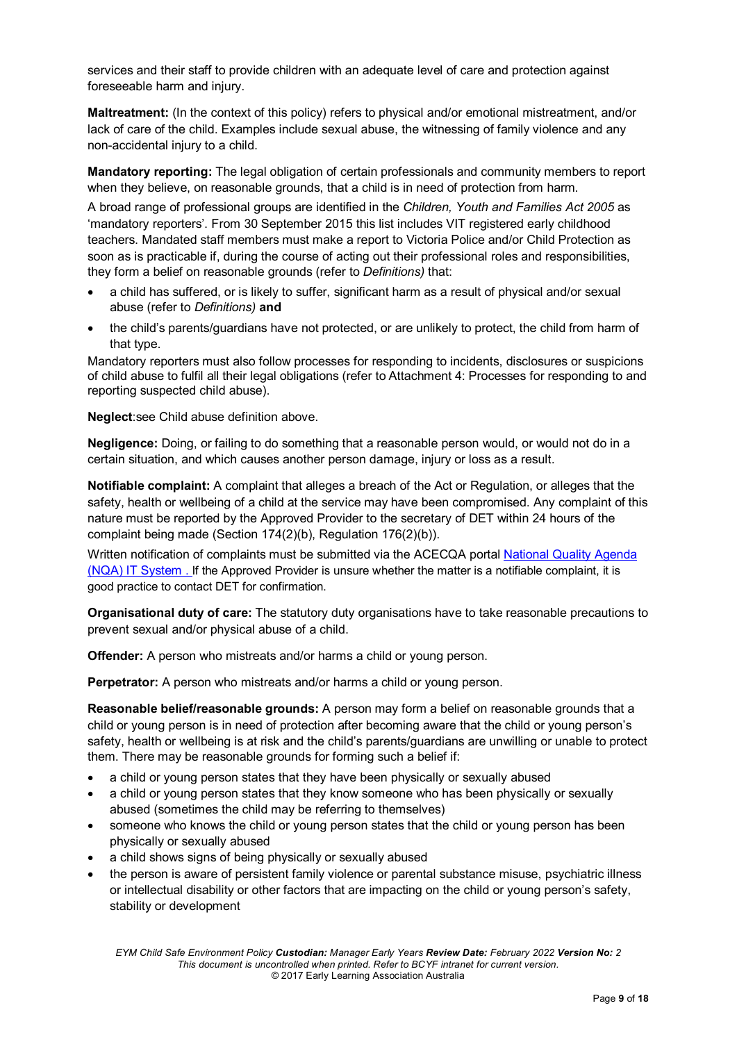services and their staff to provide children with an adequate level of care and protection against foreseeable harm and injury.

**Maltreatment:** (In the context of this policy) refers to physical and/or emotional mistreatment, and/or lack of care of the child. Examples include sexual abuse, the witnessing of family violence and any non-accidental injury to a child.

**Mandatory reporting:** The legal obligation of certain professionals and community members to report when they believe, on reasonable grounds, that a child is in need of protection from harm.

A broad range of professional groups are identified in the *Children, Youth and Families Act 2005* as 'mandatory reporters'. From 30 September 2015 this list includes VIT registered early childhood teachers. Mandated staff members must make a report to Victoria Police and/or Child Protection as soon as is practicable if, during the course of acting out their professional roles and responsibilities, they form a belief on reasonable grounds (refer to *Definitions)* that:

- a child has suffered, or is likely to suffer, significant harm as a result of physical and/or sexual abuse (refer to *Definitions)* **and**
- the child's parents/guardians have not protected, or are unlikely to protect, the child from harm of that type.

Mandatory reporters must also follow processes for responding to incidents, disclosures or suspicions of child abuse to fulfil all their legal obligations (refer to Attachment 4: Processes for responding to and reporting suspected child abuse).

**Neglect**:see Child abuse definition above.

**Negligence:** Doing, or failing to do something that a reasonable person would, or would not do in a certain situation, and which causes another person damage, injury or loss as a result.

**Notifiable complaint:** A complaint that alleges a breach of the Act or Regulation, or alleges that the safety, health or wellbeing of a child at the service may have been compromised. Any complaint of this nature must be reported by the Approved Provider to the secretary of DET within 24 hours of the complaint being made (Section 174(2)(b), Regulation 176(2)(b)).

Written notification of complaints must be submitted via the ACECQA portal [National Quality Agenda](https://public.nqaits.acecqa.gov.au/Pages/Landing.aspx) (NQA) [IT System](https://public.nqaits.acecqa.gov.au/Pages/Landing.aspx) . If the Approved Provider is unsure whether the matter is a notifiable complaint, it is good practice to contact DET for confirmation.

**Organisational duty of care:** The statutory duty organisations have to take reasonable precautions to prevent sexual and/or physical abuse of a child.

**Offender:** A person who mistreats and/or harms a child or young person.

**Perpetrator:** A person who mistreats and/or harms a child or young person.

**Reasonable belief/reasonable grounds:** A person may form a belief on reasonable grounds that a child or young person is in need of protection after becoming aware that the child or young person's safety, health or wellbeing is at risk and the child's parents/guardians are unwilling or unable to protect them. There may be reasonable grounds for forming such a belief if:

- a child or young person states that they have been physically or sexually abused
- a child or young person states that they know someone who has been physically or sexually abused (sometimes the child may be referring to themselves)
- someone who knows the child or young person states that the child or young person has been physically or sexually abused
- a child shows signs of being physically or sexually abused
- the person is aware of persistent family violence or parental substance misuse, psychiatric illness or intellectual disability or other factors that are impacting on the child or young person's safety, stability or development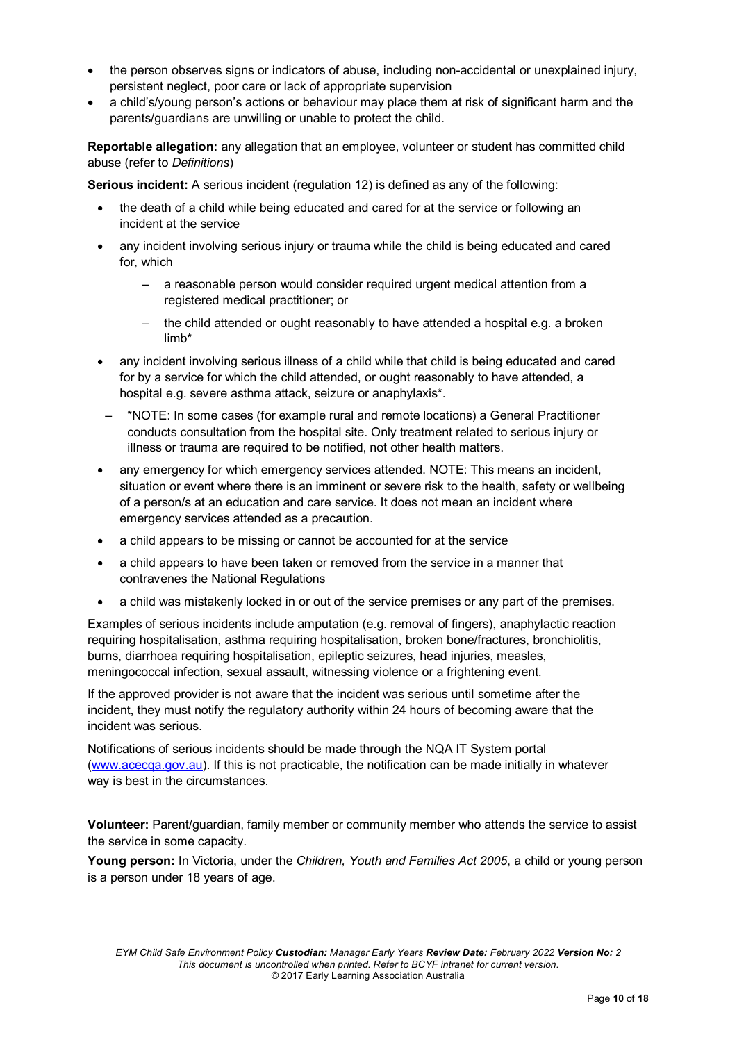- the person observes signs or indicators of abuse, including non-accidental or unexplained injury, persistent neglect, poor care or lack of appropriate supervision
- a child's/young person's actions or behaviour may place them at risk of significant harm and the parents/guardians are unwilling or unable to protect the child.

**Reportable allegation:** any allegation that an employee, volunteer or student has committed child abuse (refer to *Definitions*)

**Serious incident:** A serious incident (regulation 12) is defined as any of the following:

- the death of a child while being educated and cared for at the service or following an incident at the service
- any incident involving serious injury or trauma while the child is being educated and cared for, which
	- a reasonable person would consider required urgent medical attention from a registered medical practitioner; or
	- the child attended or ought reasonably to have attended a hospital e.g. a broken limb\*
- any incident involving serious illness of a child while that child is being educated and cared for by a service for which the child attended, or ought reasonably to have attended, a hospital e.g. severe asthma attack, seizure or anaphylaxis\*.
- \*NOTE: In some cases (for example rural and remote locations) a General Practitioner conducts consultation from the hospital site. Only treatment related to serious injury or illness or trauma are required to be notified, not other health matters.
- any emergency for which emergency services attended. NOTE: This means an incident, situation or event where there is an imminent or severe risk to the health, safety or wellbeing of a person/s at an education and care service. It does not mean an incident where emergency services attended as a precaution.
- a child appears to be missing or cannot be accounted for at the service
- a child appears to have been taken or removed from the service in a manner that contravenes the National Regulations
- a child was mistakenly locked in or out of the service premises or any part of the premises.

Examples of serious incidents include amputation (e.g. removal of fingers), anaphylactic reaction requiring hospitalisation, asthma requiring hospitalisation, broken bone/fractures, bronchiolitis, burns, diarrhoea requiring hospitalisation, epileptic seizures, head injuries, measles, meningococcal infection, sexual assault, witnessing violence or a frightening event.

If the approved provider is not aware that the incident was serious until sometime after the incident, they must notify the regulatory authority within 24 hours of becoming aware that the incident was serious.

Notifications of serious incidents should be made through the NQA IT System portal [\(www.acecqa.gov.au\)](http://www.acecqa.gov.au/). If this is not practicable, the notification can be made initially in whatever way is best in the circumstances.

**Volunteer:** Parent/guardian, family member or community member who attends the service to assist the service in some capacity.

**Young person:** In Victoria, under the *Children, Youth and Families Act 2005*, a child or young person is a person under 18 years of age.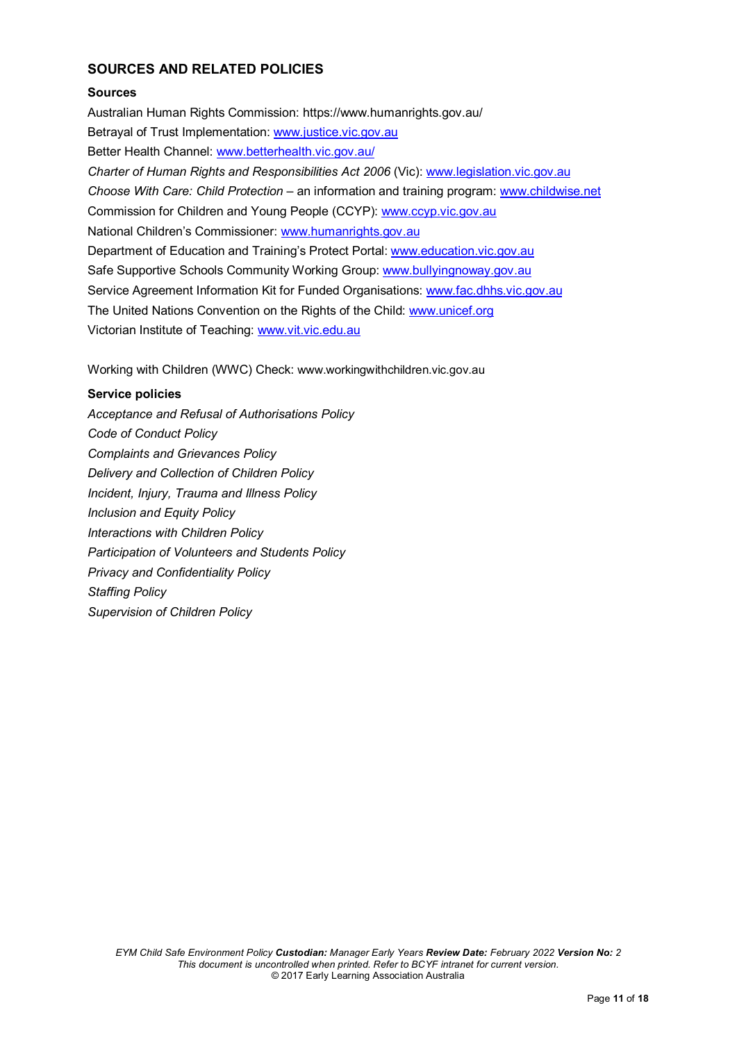# **SOURCES AND RELATED POLICIES**

# **Sources**

Australian Human Rights Commission: https://www.humanrights.gov.au/ Betrayal of Trust Implementation: [www.justice.vic.gov.au](http://www.justice.vic.gov.au/) Better Health Channel: [www.betterhealth.vic.gov.au/](file://kpv-sbs/data/BD&G/Communications/Publications/Policy%20Works/2018%20Final%20PolicyWorks/www.betterhealth.vic.gov.au/) *Charter of Human Rights and Responsibilities Act 2006* (Vic): [www.legislation.vic.gov.au](file://kpv-sbs/data/BD&G/Communications/Publications/Policy%20Works/2018%20Final%20PolicyWorks/www.legislation.vic.gov.au) *Choose With Care: Child Protection* – an information and training program: [www.childwise.net](http://www.childwise.net/) Commission for Children and Young People (CCYP): [www.ccyp.vic.gov.au](file://kpv-sbs/data/BD&G/Communications/Publications/Policy%20Works/2018%20Final%20PolicyWorks/www.ccyp.vic.gov.au) National Children's Commissioner: [www.humanrights.gov.au](http://www.humanrights.gov.au/) Department of Education and Training's Protect Portal: [www.education.vic.gov.au](http://www.education.vic.gov.au/Pages/default.aspx) Safe Supportive Schools Community Working Group: [www.bullyingnoway.gov.au](file://kpv-sbs/data/BD&G/Communications/Publications/Policy%20Works/2018%20Final%20PolicyWorks/www.bullyingnoway.gov.au) Service Agreement Information Kit for Funded Organisations: [www.fac.dhhs.vic.gov.au](http://www.fac.dhhs.vic.gov.au/) The United Nations Convention on the Rights of the Child: [www.unicef.org](https://www.unicef.org/) Victorian Institute of Teaching: [www.vit.vic.edu.au](http://www.vit.vic.edu.au/)

Working with Children (WWC) Check: www.workingwithchildren.vic.gov.au

### **Service policies**

*Acceptance and Refusal of Authorisations Policy Code of Conduct Policy Complaints and Grievances Policy Delivery and Collection of Children Policy Incident, Injury, Trauma and Illness Policy Inclusion and Equity Policy Interactions with Children Policy Participation of Volunteers and Students Policy Privacy and Confidentiality Policy Staffing Policy Supervision of Children Policy*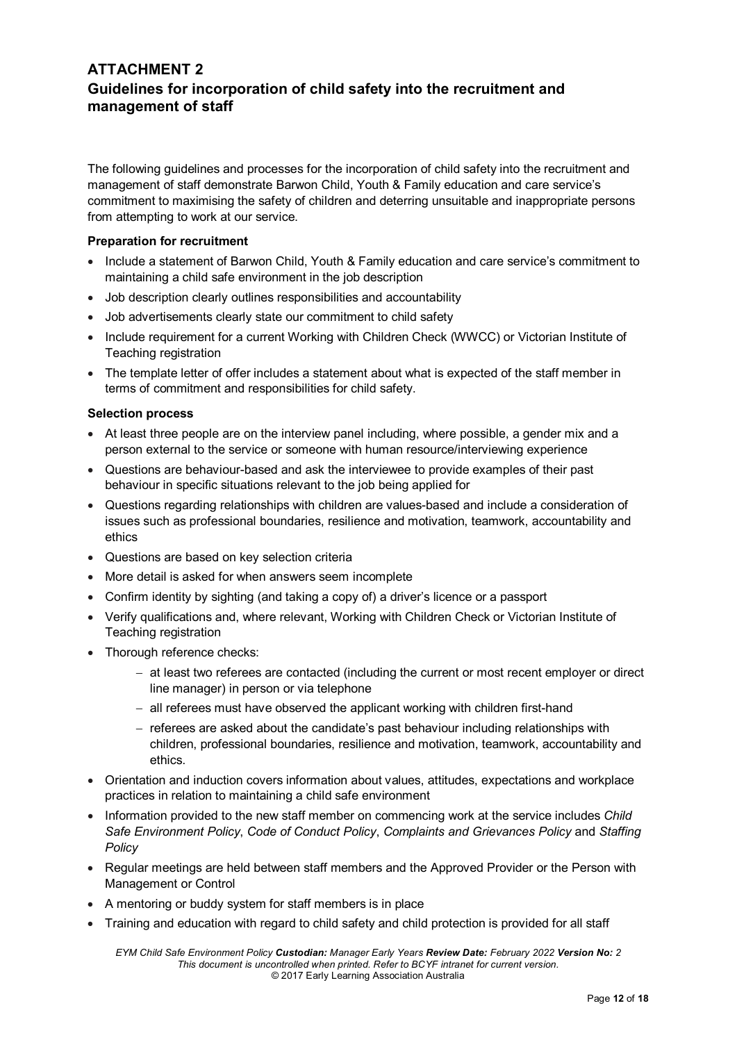# **ATTACHMENT 2 Guidelines for incorporation of child safety into the recruitment and management of staff**

The following guidelines and processes for the incorporation of child safety into the recruitment and management of staff demonstrate Barwon Child, Youth & Family education and care service's commitment to maximising the safety of children and deterring unsuitable and inappropriate persons from attempting to work at our service.

#### **Preparation for recruitment**

- Include a statement of Barwon Child, Youth & Family education and care service's commitment to maintaining a child safe environment in the job description
- Job description clearly outlines responsibilities and accountability
- Job advertisements clearly state our commitment to child safety
- Include requirement for a current Working with Children Check (WWCC) or Victorian Institute of Teaching registration
- The template letter of offer includes a statement about what is expected of the staff member in terms of commitment and responsibilities for child safety.

#### **Selection process**

- At least three people are on the interview panel including, where possible, a gender mix and a person external to the service or someone with human resource/interviewing experience
- Questions are behaviour-based and ask the interviewee to provide examples of their past behaviour in specific situations relevant to the job being applied for
- Questions regarding relationships with children are values-based and include a consideration of issues such as professional boundaries, resilience and motivation, teamwork, accountability and ethics
- Questions are based on key selection criteria
- More detail is asked for when answers seem incomplete
- Confirm identity by sighting (and taking a copy of) a driver's licence or a passport
- Verify qualifications and, where relevant, Working with Children Check or Victorian Institute of Teaching registration
- Thorough reference checks:
	- − at least two referees are contacted (including the current or most recent employer or direct line manager) in person or via telephone
	- − all referees must have observed the applicant working with children first-hand
	- − referees are asked about the candidate's past behaviour including relationships with children, professional boundaries, resilience and motivation, teamwork, accountability and ethics.
- Orientation and induction covers information about values, attitudes, expectations and workplace practices in relation to maintaining a child safe environment
- Information provided to the new staff member on commencing work at the service includes *Child Safe Environment Policy*, *Code of Conduct Policy*, *Complaints and Grievances Policy* and *Staffing Policy*
- Regular meetings are held between staff members and the Approved Provider or the Person with Management or Control
- A mentoring or buddy system for staff members is in place
- Training and education with regard to child safety and child protection is provided for all staff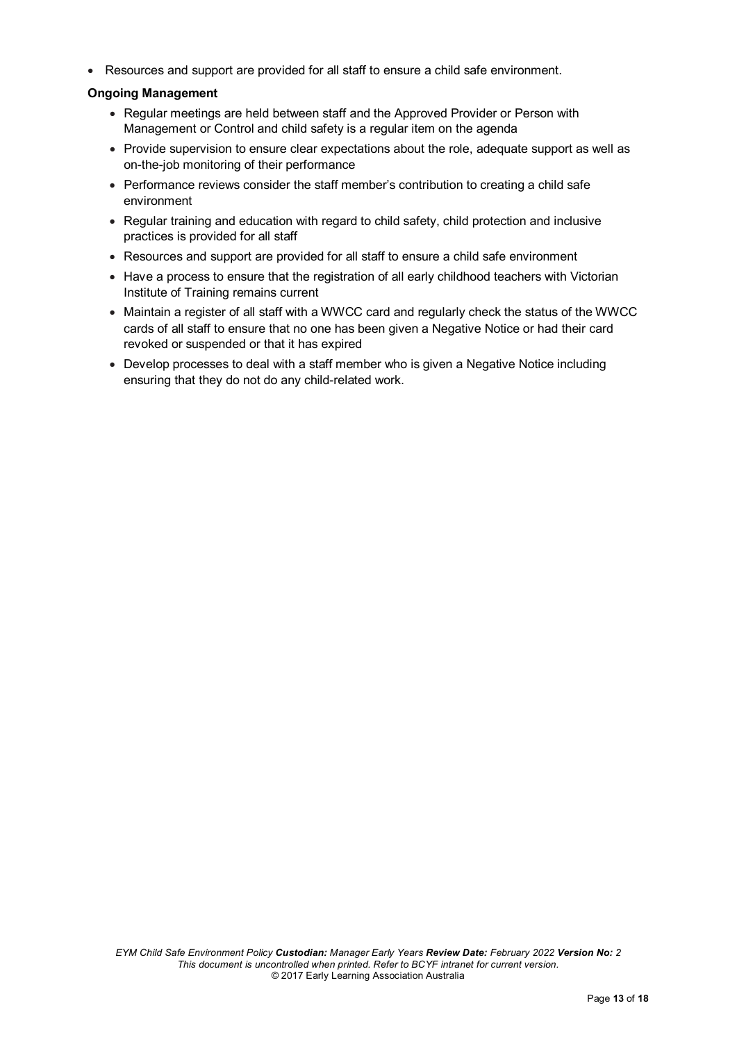• Resources and support are provided for all staff to ensure a child safe environment.

### **Ongoing Management**

- Regular meetings are held between staff and the Approved Provider or Person with Management or Control and child safety is a regular item on the agenda
- Provide supervision to ensure clear expectations about the role, adequate support as well as on-the-job monitoring of their performance
- Performance reviews consider the staff member's contribution to creating a child safe environment
- Regular training and education with regard to child safety, child protection and inclusive practices is provided for all staff
- Resources and support are provided for all staff to ensure a child safe environment
- Have a process to ensure that the registration of all early childhood teachers with Victorian Institute of Training remains current
- Maintain a register of all staff with a WWCC card and regularly check the status of the WWCC cards of all staff to ensure that no one has been given a Negative Notice or had their card revoked or suspended or that it has expired
- Develop processes to deal with a staff member who is given a Negative Notice including ensuring that they do not do any child-related work.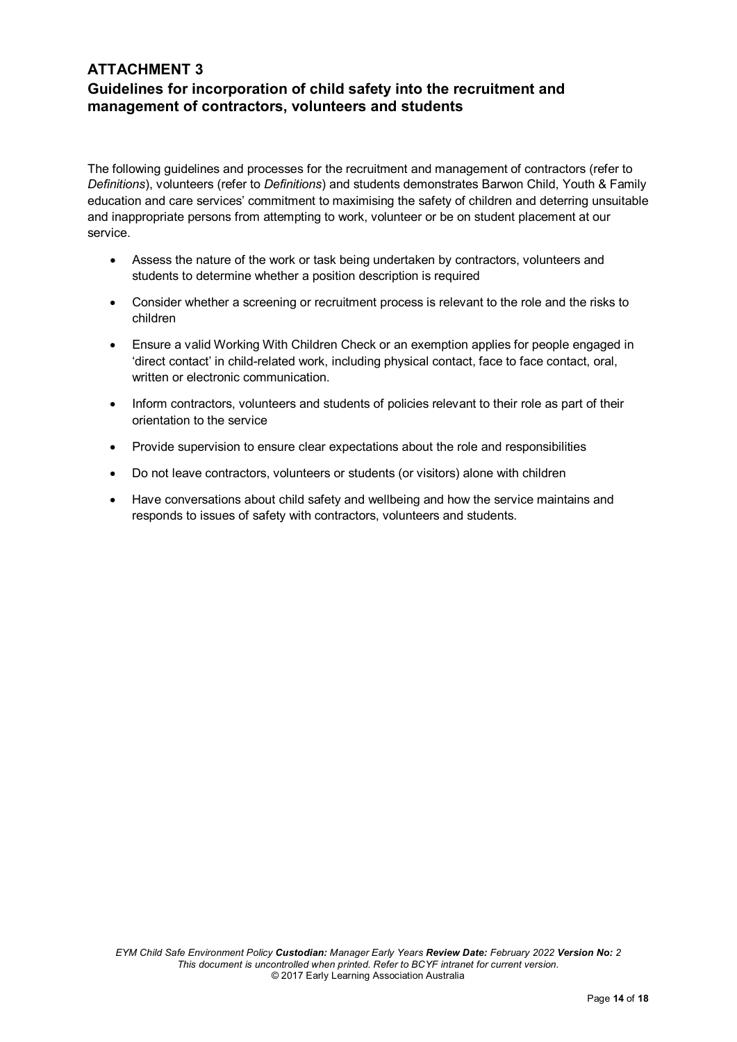# **ATTACHMENT 3 Guidelines for incorporation of child safety into the recruitment and management of contractors, volunteers and students**

The following guidelines and processes for the recruitment and management of contractors (refer to *Definitions*), volunteers (refer to *Definitions*) and students demonstrates Barwon Child, Youth & Family education and care services' commitment to maximising the safety of children and deterring unsuitable and inappropriate persons from attempting to work, volunteer or be on student placement at our service.

- Assess the nature of the work or task being undertaken by contractors, volunteers and students to determine whether a position description is required
- Consider whether a screening or recruitment process is relevant to the role and the risks to children
- Ensure a valid Working With Children Check or an exemption applies for people engaged in 'direct contact' in child-related work, including physical contact, face to face contact, oral, written or electronic communication.
- Inform contractors, volunteers and students of policies relevant to their role as part of their orientation to the service
- Provide supervision to ensure clear expectations about the role and responsibilities
- Do not leave contractors, volunteers or students (or visitors) alone with children
- Have conversations about child safety and wellbeing and how the service maintains and responds to issues of safety with contractors, volunteers and students.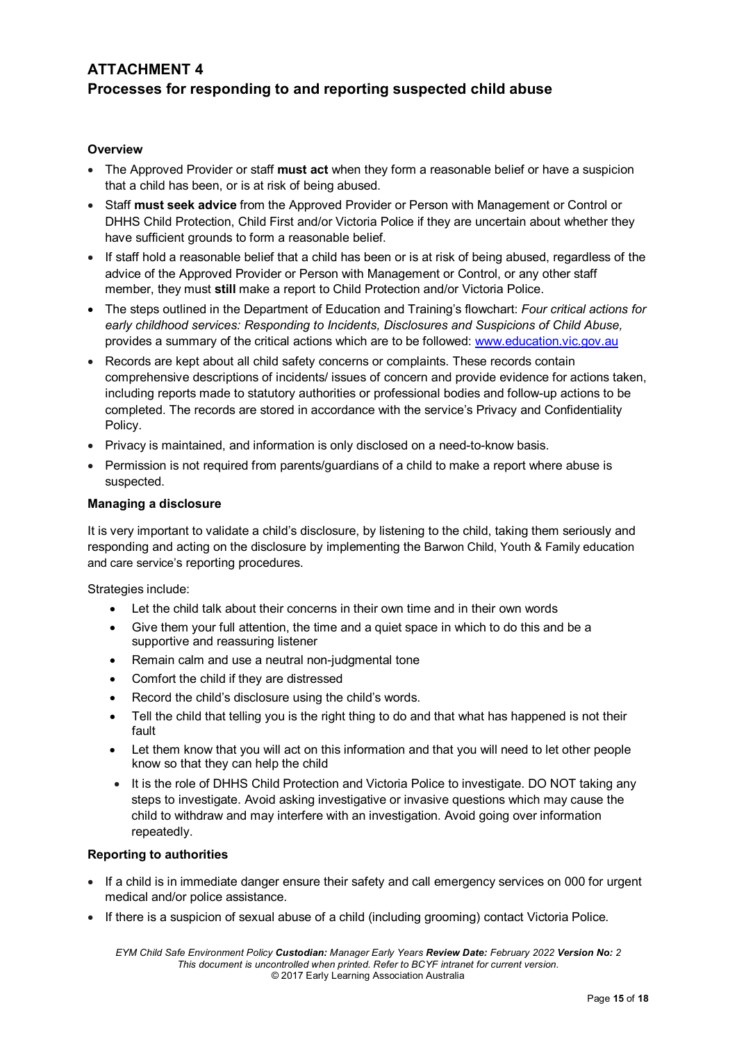# **ATTACHMENT 4 Processes for responding to and reporting suspected child abuse**

# **Overview**

- The Approved Provider or staff **must act** when they form a reasonable belief or have a suspicion that a child has been, or is at risk of being abused.
- Staff **must seek advice** from the Approved Provider or Person with Management or Control or DHHS Child Protection, Child First and/or Victoria Police if they are uncertain about whether they have sufficient grounds to form a reasonable belief.
- If staff hold a reasonable belief that a child has been or is at risk of being abused, regardless of the advice of the Approved Provider or Person with Management or Control, or any other staff member, they must **still** make a report to Child Protection and/or Victoria Police.
- The steps outlined in the Department of Education and Training's flowchart: *Four critical actions for early childhood services: Responding to Incidents, Disclosures and Suspicions of Child Abuse,*  provides a summary of the critical actions which are to be followed: [www.education.vic.gov.au](http://www.education.vic.gov.au/Pages/default.aspx)
- Records are kept about all child safety concerns or complaints. These records contain comprehensive descriptions of incidents/ issues of concern and provide evidence for actions taken, including reports made to statutory authorities or professional bodies and follow-up actions to be completed. The records are stored in accordance with the service's Privacy and Confidentiality Policy.
- Privacy is maintained, and information is only disclosed on a need-to-know basis.
- Permission is not required from parents/guardians of a child to make a report where abuse is suspected.

### **Managing a disclosure**

It is very important to validate a child's disclosure, by listening to the child, taking them seriously and responding and acting on the disclosure by implementing the Barwon Child, Youth & Family education and care service's reporting procedures.

Strategies include:

- Let the child talk about their concerns in their own time and in their own words
- Give them your full attention, the time and a quiet space in which to do this and be a supportive and reassuring listener
- Remain calm and use a neutral non-judgmental tone
- Comfort the child if they are distressed
- Record the child's disclosure using the child's words.
- Tell the child that telling you is the right thing to do and that what has happened is not their fault
- Let them know that you will act on this information and that you will need to let other people know so that they can help the child
- It is the role of DHHS Child Protection and Victoria Police to investigate. DO NOT taking any steps to investigate. Avoid asking investigative or invasive questions which may cause the child to withdraw and may interfere with an investigation. Avoid going over information repeatedly.

### **Reporting to authorities**

- If a child is in immediate danger ensure their safety and call emergency services on 000 for urgent medical and/or police assistance.
- If there is a suspicion of sexual abuse of a child (including grooming) contact Victoria Police.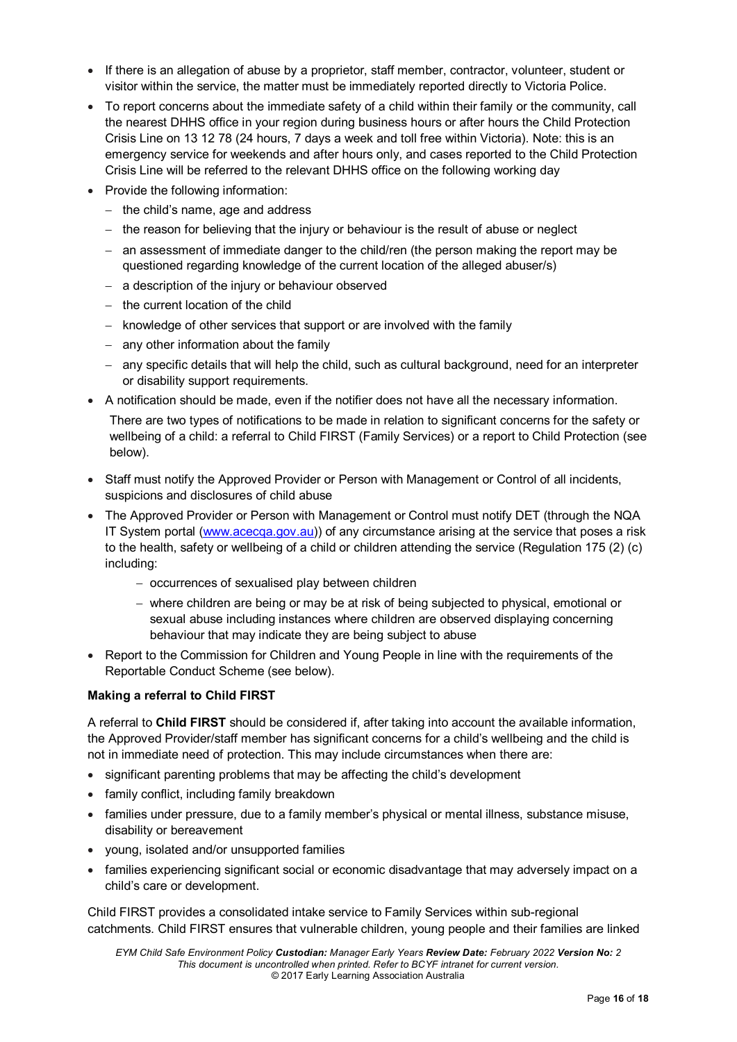- If there is an allegation of abuse by a proprietor, staff member, contractor, volunteer, student or visitor within the service, the matter must be immediately reported directly to Victoria Police.
- To report concerns about the immediate safety of a child within their family or the community, call the nearest DHHS office in your region during business hours or after hours the Child Protection Crisis Line on 13 12 78 (24 hours, 7 days a week and toll free within Victoria). Note: this is an emergency service for weekends and after hours only, and cases reported to the Child Protection Crisis Line will be referred to the relevant DHHS office on the following working day
- Provide the following information:
	- − the child's name, age and address
	- − the reason for believing that the injury or behaviour is the result of abuse or neglect
	- − an assessment of immediate danger to the child/ren (the person making the report may be questioned regarding knowledge of the current location of the alleged abuser/s)
	- − a description of the injury or behaviour observed
	- − the current location of the child
	- − knowledge of other services that support or are involved with the family
	- − any other information about the family
	- − any specific details that will help the child, such as cultural background, need for an interpreter or disability support requirements.
- A notification should be made, even if the notifier does not have all the necessary information.

There are two types of notifications to be made in relation to significant concerns for the safety or wellbeing of a child: a referral to Child FIRST (Family Services) or a report to Child Protection (see below).

- Staff must notify the Approved Provider or Person with Management or Control of all incidents, suspicions and disclosures of child abuse
- The Approved Provider or Person with Management or Control must notify DET (through the NQA IT System portal [\(www.acecqa.gov.au\)](http://www.acecqa.gov.au/)) of any circumstance arising at the service that poses a risk to the health, safety or wellbeing of a child or children attending the service (Regulation 175 (2) (c) including:
	- − occurrences of sexualised play between children
	- − where children are being or may be at risk of being subjected to physical, emotional or sexual abuse including instances where children are observed displaying concerning behaviour that may indicate they are being subject to abuse
- Report to the Commission for Children and Young People in line with the requirements of the Reportable Conduct Scheme (see below).

### **Making a referral to Child FIRST**

A referral to **Child FIRST** should be considered if, after taking into account the available information, the Approved Provider/staff member has significant concerns for a child's wellbeing and the child is not in immediate need of protection. This may include circumstances when there are:

- significant parenting problems that may be affecting the child's development
- family conflict, including family breakdown
- families under pressure, due to a family member's physical or mental illness, substance misuse, disability or bereavement
- young, isolated and/or unsupported families
- families experiencing significant social or economic disadvantage that may adversely impact on a child's care or development.

Child FIRST provides a consolidated intake service to Family Services within sub-regional catchments. Child FIRST ensures that vulnerable children, young people and their families are linked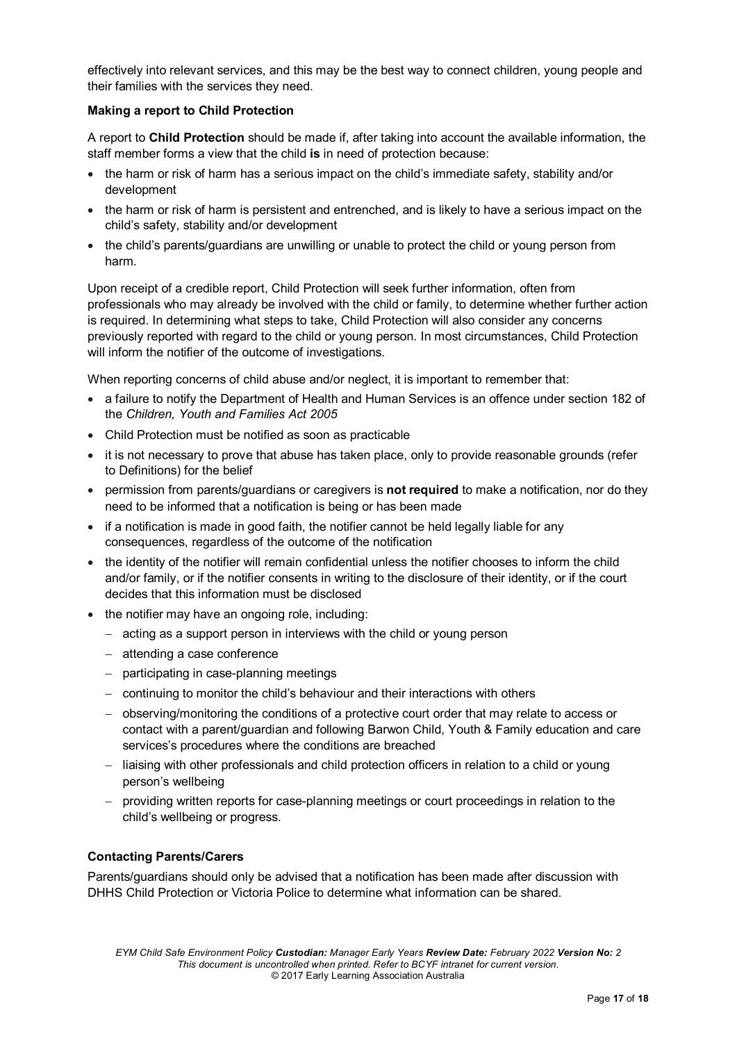effectively into relevant services, and this may be the best way to connect children, young people and their families with the services they need.

# **Making a report to Child Protection**

A report to **Child Protection** should be made if, after taking into account the available information, the staff member forms a view that the child **is** in need of protection because:

- the harm or risk of harm has a serious impact on the child's immediate safety, stability and/or development
- the harm or risk of harm is persistent and entrenched, and is likely to have a serious impact on the child's safety, stability and/or development
- the child's parents/guardians are unwilling or unable to protect the child or young person from harm.

Upon receipt of a credible report, Child Protection will seek further information, often from professionals who may already be involved with the child or family, to determine whether further action is required. In determining what steps to take, Child Protection will also consider any concerns previously reported with regard to the child or young person. In most circumstances, Child Protection will inform the notifier of the outcome of investigations.

When reporting concerns of child abuse and/or neglect, it is important to remember that:

- a failure to notify the Department of Health and Human Services is an offence under section 182 of the *Children, Youth and Families Act 2005*
- Child Protection must be notified as soon as practicable
- it is not necessary to prove that abuse has taken place, only to provide reasonable grounds (refer to Definitions) for the belief
- permission from parents/guardians or caregivers is **not required** to make a notification, nor do they need to be informed that a notification is being or has been made
- if a notification is made in good faith, the notifier cannot be held legally liable for any consequences, regardless of the outcome of the notification
- the identity of the notifier will remain confidential unless the notifier chooses to inform the child and/or family, or if the notifier consents in writing to the disclosure of their identity, or if the court decides that this information must be disclosed
- the notifier may have an ongoing role, including:
	- − acting as a support person in interviews with the child or young person
	- − attending a case conference
	- − participating in case-planning meetings
	- − continuing to monitor the child's behaviour and their interactions with others
	- − observing/monitoring the conditions of a protective court order that may relate to access or contact with a parent/guardian and following Barwon Child, Youth & Family education and care services's procedures where the conditions are breached
	- − liaising with other professionals and child protection officers in relation to a child or young person's wellbeing
	- − providing written reports for case-planning meetings or court proceedings in relation to the child's wellbeing or progress.

# **Contacting Parents/Carers**

Parents/guardians should only be advised that a notification has been made after discussion with DHHS Child Protection or Victoria Police to determine what information can be shared.